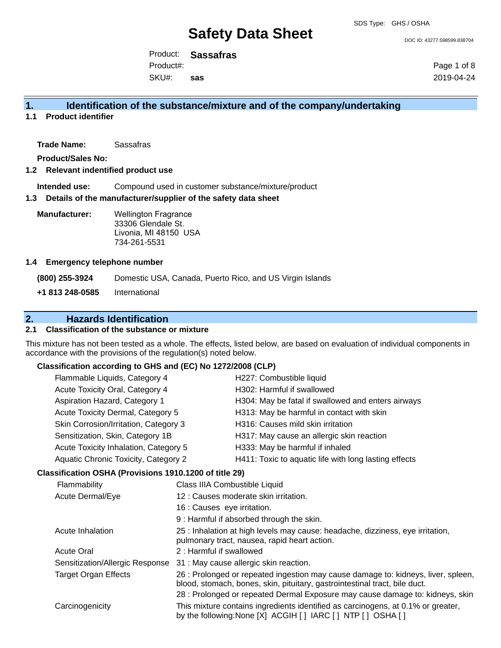DOC ID: 43277.598599.838704

Product: **Sassafras** Product#:

SKU#: **sas** Page 1 of 8 2019-04-24

# **1. Identification of the substance/mixture and of the company/undertaking**

**1.1 Product identifier**

**Trade Name:** Sassafras

**Product/Sales No:**

#### **1.2 Relevant indentified product use**

**Intended use:** Compound used in customer substance/mixture/product

#### **1.3 Details of the manufacturer/supplier of the safety data sheet**

**Manufacturer:** Wellington Fragrance 33306 Glendale St. Livonia, MI 48150 USA 734-261-5531

#### **1.4 Emergency telephone number**

**(800) 255-3924** Domestic USA, Canada, Puerto Rico, and US Virgin Islands **+1 813 248-0585** International

# **2. Hazards Identification**

### **2.1 Classification of the substance or mixture**

This mixture has not been tested as a whole. The effects, listed below, are based on evaluation of individual components in accordance with the provisions of the regulation(s) noted below.

### **Classification according to GHS and (EC) No 1272/2008 (CLP)**

| Flammable Liquids, Category 4<br>H227: Combustible liquid<br>H302: Harmful if swallowed<br>Acute Toxicity Oral, Category 4<br>Aspiration Hazard, Category 1<br>H304: May be fatal if swallowed and enters airways<br>Acute Toxicity Dermal, Category 5<br>H313: May be harmful in contact with skin<br>Skin Corrosion/Irritation, Category 3<br>H316: Causes mild skin irritation<br>Sensitization, Skin, Category 1B<br>H317: May cause an allergic skin reaction<br>H333: May be harmful if inhaled<br>Acute Toxicity Inhalation, Category 5<br>Aquatic Chronic Toxicity, Category 2<br>H411: Toxic to aquatic life with long lasting effects<br>Classification OSHA (Provisions 1910.1200 of title 29)<br>Flammability<br>Class IIIA Combustible Liquid<br>Acute Dermal/Eye<br>12 : Causes moderate skin irritation.<br>16 : Causes eye irritation.<br>9 : Harmful if absorbed through the skin.<br>25 : Inhalation at high levels may cause: headache, dizziness, eye irritation,<br>Acute Inhalation<br>pulmonary tract, nausea, rapid heart action.<br>2: Harmful if swallowed<br><b>Acute Oral</b><br>Sensitization/Allergic Response<br>31 : May cause allergic skin reaction.<br>26 : Prolonged or repeated ingestion may cause damage to: kidneys, liver, spleen,<br><b>Target Organ Effects</b><br>blood, stomach, bones, skin, pituitary, gastrointestinal tract, bile duct.<br>28 : Prolonged or repeated Dermal Exposure may cause damage to: kidneys, skin<br>This mixture contains ingredients identified as carcinogens, at 0.1% or greater,<br>Carcinogenicity<br>by the following: None [X] ACGIH [ ] IARC [ ] NTP [ ] OSHA [ ] |  |  |  |  |
|----------------------------------------------------------------------------------------------------------------------------------------------------------------------------------------------------------------------------------------------------------------------------------------------------------------------------------------------------------------------------------------------------------------------------------------------------------------------------------------------------------------------------------------------------------------------------------------------------------------------------------------------------------------------------------------------------------------------------------------------------------------------------------------------------------------------------------------------------------------------------------------------------------------------------------------------------------------------------------------------------------------------------------------------------------------------------------------------------------------------------------------------------------------------------------------------------------------------------------------------------------------------------------------------------------------------------------------------------------------------------------------------------------------------------------------------------------------------------------------------------------------------------------------------------------------------------------------------------------------------------------------------------|--|--|--|--|
|                                                                                                                                                                                                                                                                                                                                                                                                                                                                                                                                                                                                                                                                                                                                                                                                                                                                                                                                                                                                                                                                                                                                                                                                                                                                                                                                                                                                                                                                                                                                                                                                                                                    |  |  |  |  |
|                                                                                                                                                                                                                                                                                                                                                                                                                                                                                                                                                                                                                                                                                                                                                                                                                                                                                                                                                                                                                                                                                                                                                                                                                                                                                                                                                                                                                                                                                                                                                                                                                                                    |  |  |  |  |
|                                                                                                                                                                                                                                                                                                                                                                                                                                                                                                                                                                                                                                                                                                                                                                                                                                                                                                                                                                                                                                                                                                                                                                                                                                                                                                                                                                                                                                                                                                                                                                                                                                                    |  |  |  |  |
|                                                                                                                                                                                                                                                                                                                                                                                                                                                                                                                                                                                                                                                                                                                                                                                                                                                                                                                                                                                                                                                                                                                                                                                                                                                                                                                                                                                                                                                                                                                                                                                                                                                    |  |  |  |  |
|                                                                                                                                                                                                                                                                                                                                                                                                                                                                                                                                                                                                                                                                                                                                                                                                                                                                                                                                                                                                                                                                                                                                                                                                                                                                                                                                                                                                                                                                                                                                                                                                                                                    |  |  |  |  |
|                                                                                                                                                                                                                                                                                                                                                                                                                                                                                                                                                                                                                                                                                                                                                                                                                                                                                                                                                                                                                                                                                                                                                                                                                                                                                                                                                                                                                                                                                                                                                                                                                                                    |  |  |  |  |
|                                                                                                                                                                                                                                                                                                                                                                                                                                                                                                                                                                                                                                                                                                                                                                                                                                                                                                                                                                                                                                                                                                                                                                                                                                                                                                                                                                                                                                                                                                                                                                                                                                                    |  |  |  |  |
|                                                                                                                                                                                                                                                                                                                                                                                                                                                                                                                                                                                                                                                                                                                                                                                                                                                                                                                                                                                                                                                                                                                                                                                                                                                                                                                                                                                                                                                                                                                                                                                                                                                    |  |  |  |  |
|                                                                                                                                                                                                                                                                                                                                                                                                                                                                                                                                                                                                                                                                                                                                                                                                                                                                                                                                                                                                                                                                                                                                                                                                                                                                                                                                                                                                                                                                                                                                                                                                                                                    |  |  |  |  |
|                                                                                                                                                                                                                                                                                                                                                                                                                                                                                                                                                                                                                                                                                                                                                                                                                                                                                                                                                                                                                                                                                                                                                                                                                                                                                                                                                                                                                                                                                                                                                                                                                                                    |  |  |  |  |
|                                                                                                                                                                                                                                                                                                                                                                                                                                                                                                                                                                                                                                                                                                                                                                                                                                                                                                                                                                                                                                                                                                                                                                                                                                                                                                                                                                                                                                                                                                                                                                                                                                                    |  |  |  |  |
|                                                                                                                                                                                                                                                                                                                                                                                                                                                                                                                                                                                                                                                                                                                                                                                                                                                                                                                                                                                                                                                                                                                                                                                                                                                                                                                                                                                                                                                                                                                                                                                                                                                    |  |  |  |  |
|                                                                                                                                                                                                                                                                                                                                                                                                                                                                                                                                                                                                                                                                                                                                                                                                                                                                                                                                                                                                                                                                                                                                                                                                                                                                                                                                                                                                                                                                                                                                                                                                                                                    |  |  |  |  |
|                                                                                                                                                                                                                                                                                                                                                                                                                                                                                                                                                                                                                                                                                                                                                                                                                                                                                                                                                                                                                                                                                                                                                                                                                                                                                                                                                                                                                                                                                                                                                                                                                                                    |  |  |  |  |
|                                                                                                                                                                                                                                                                                                                                                                                                                                                                                                                                                                                                                                                                                                                                                                                                                                                                                                                                                                                                                                                                                                                                                                                                                                                                                                                                                                                                                                                                                                                                                                                                                                                    |  |  |  |  |
|                                                                                                                                                                                                                                                                                                                                                                                                                                                                                                                                                                                                                                                                                                                                                                                                                                                                                                                                                                                                                                                                                                                                                                                                                                                                                                                                                                                                                                                                                                                                                                                                                                                    |  |  |  |  |
|                                                                                                                                                                                                                                                                                                                                                                                                                                                                                                                                                                                                                                                                                                                                                                                                                                                                                                                                                                                                                                                                                                                                                                                                                                                                                                                                                                                                                                                                                                                                                                                                                                                    |  |  |  |  |
|                                                                                                                                                                                                                                                                                                                                                                                                                                                                                                                                                                                                                                                                                                                                                                                                                                                                                                                                                                                                                                                                                                                                                                                                                                                                                                                                                                                                                                                                                                                                                                                                                                                    |  |  |  |  |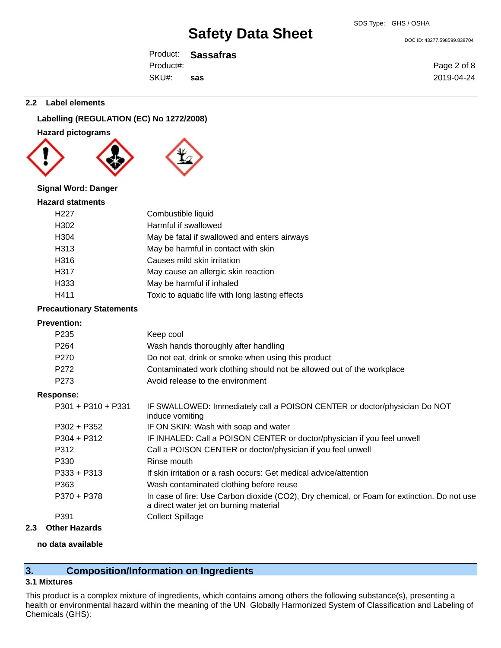DOC ID: 43277.598599.838704

Page 2 of 8 2019-04-24

Product: **Sassafras** SKU#: Product#: **sas**

**2.2 Label elements**

# **Labelling (REGULATION (EC) No 1272/2008)**

#### **Hazard pictograms**





# **Signal Word: Danger**

| <b>Hazard statments</b> |                                                 |
|-------------------------|-------------------------------------------------|
| H <sub>22</sub> 7       | Combustible liquid                              |
| H302                    | Harmful if swallowed                            |
| H304                    | May be fatal if swallowed and enters airways    |
| H313                    | May be harmful in contact with skin             |
| H316                    | Causes mild skin irritation                     |
| H317                    | May cause an allergic skin reaction             |
| H333                    | May be harmful if inhaled                       |
| H411                    | Toxic to aquatic life with long lasting effects |

#### **Precautionary Statements**

#### **Prevention:**

| Keep cool                                                                                                                             |
|---------------------------------------------------------------------------------------------------------------------------------------|
| Wash hands thoroughly after handling                                                                                                  |
| Do not eat, drink or smoke when using this product                                                                                    |
| Contaminated work clothing should not be allowed out of the workplace                                                                 |
| Avoid release to the environment                                                                                                      |
|                                                                                                                                       |
| IF SWALLOWED: Immediately call a POISON CENTER or doctor/physician Do NOT<br>induce vomiting                                          |
| IF ON SKIN: Wash with soap and water                                                                                                  |
| IF INHALED: Call a POISON CENTER or doctor/physician if you feel unwell                                                               |
| Call a POISON CENTER or doctor/physician if you feel unwell                                                                           |
| Rinse mouth                                                                                                                           |
| If skin irritation or a rash occurs: Get medical advice/attention                                                                     |
| Wash contaminated clothing before reuse                                                                                               |
| In case of fire: Use Carbon dioxide (CO2), Dry chemical, or Foam for extinction. Do not use<br>a direct water jet on burning material |
| <b>Collect Spillage</b>                                                                                                               |
|                                                                                                                                       |

### **2.3 Other Hazards**

#### **no data available**

# **3. Composition/Information on Ingredients**

#### **3.1 Mixtures**

This product is a complex mixture of ingredients, which contains among others the following substance(s), presenting a health or environmental hazard within the meaning of the UN Globally Harmonized System of Classification and Labeling of Chemicals (GHS):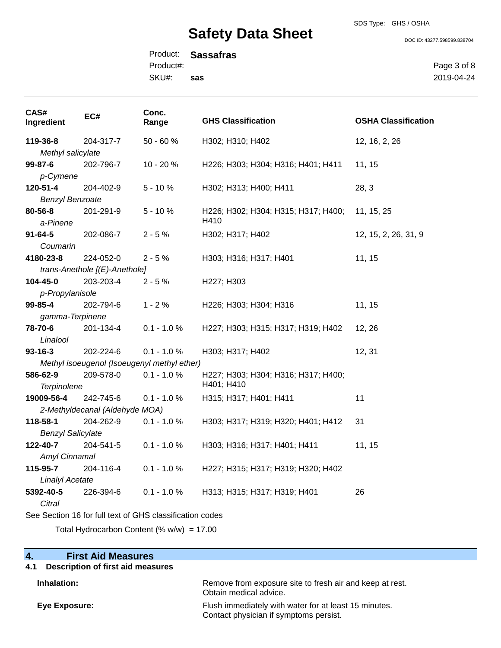#### SDS Type: GHS / OSHA

# **Safety Data Sheet**

DOC ID: 43277.598599.838704

Product: **Sassafras** SKU#: Product#: **sas**

Page 3 of 8 2019-04-24

| CAS#<br>Ingredient                                       | EC#                           | Conc.<br>Range                              | <b>GHS Classification</b>           | <b>OSHA Classification</b> |
|----------------------------------------------------------|-------------------------------|---------------------------------------------|-------------------------------------|----------------------------|
| 119-36-8                                                 | 204-317-7                     | $50 - 60 %$                                 | H302; H310; H402                    | 12, 16, 2, 26              |
| Methyl salicylate                                        |                               |                                             |                                     |                            |
| 99-87-6                                                  | 202-796-7                     | 10 - 20 %                                   | H226; H303; H304; H316; H401; H411  | 11, 15                     |
| p-Cymene                                                 |                               |                                             |                                     |                            |
| 120-51-4                                                 | 204-402-9                     | $5 - 10%$                                   | H302; H313; H400; H411              | 28, 3                      |
| <b>Benzyl Benzoate</b>                                   |                               |                                             |                                     |                            |
| 80-56-8                                                  | 201-291-9                     | $5 - 10%$                                   | H226; H302; H304; H315; H317; H400; | 11, 15, 25                 |
| a-Pinene                                                 |                               |                                             | H410                                |                            |
| $91 - 64 - 5$                                            | 202-086-7                     | $2 - 5%$                                    | H302; H317; H402                    | 12, 15, 2, 26, 31, 9       |
| Coumarin                                                 |                               |                                             |                                     |                            |
| 4180-23-8                                                | 224-052-0                     | $2 - 5%$                                    | H303; H316; H317; H401              | 11, 15                     |
|                                                          | trans-Anethole [(E)-Anethole] |                                             |                                     |                            |
| 104-45-0                                                 | 203-203-4                     | $2 - 5%$                                    | H227; H303                          |                            |
| p-Propylanisole                                          |                               |                                             |                                     |                            |
| 99-85-4                                                  | 202-794-6                     | $1 - 2%$                                    | H226; H303; H304; H316              | 11, 15                     |
| gamma-Terpinene                                          |                               |                                             |                                     |                            |
| 78-70-6                                                  | 201-134-4                     | $0.1 - 1.0 %$                               | H227; H303; H315; H317; H319; H402  | 12, 26                     |
| Linalool                                                 |                               |                                             |                                     |                            |
| $93 - 16 - 3$                                            | 202-224-6                     | $0.1 - 1.0 %$                               | H303; H317; H402                    | 12, 31                     |
|                                                          |                               | Methyl isoeugenol (Isoeugenyl methyl ether) |                                     |                            |
| 586-62-9                                                 | 209-578-0                     | $0.1 - 1.0 \%$                              | H227; H303; H304; H316; H317; H400; |                            |
| <b>Terpinolene</b>                                       |                               |                                             | H401; H410                          |                            |
| 19009-56-4                                               | 242-745-6                     | $0.1 - 1.0 %$                               | H315; H317; H401; H411              | 11                         |
| 2-Methyldecanal (Aldehyde MOA)                           |                               |                                             |                                     |                            |
| 118-58-1                                                 | 204-262-9                     | $0.1 - 1.0 \%$                              | H303; H317; H319; H320; H401; H412  | 31                         |
| <b>Benzyl Salicylate</b>                                 |                               |                                             |                                     |                            |
| 122-40-7                                                 | 204-541-5                     | $0.1 - 1.0 %$                               | H303; H316; H317; H401; H411        | 11, 15                     |
| Amyl Cinnamal                                            |                               |                                             |                                     |                            |
| 115-95-7                                                 | 204-116-4                     | $0.1 - 1.0 %$                               | H227; H315; H317; H319; H320; H402  |                            |
| <b>Linalyl Acetate</b>                                   |                               |                                             |                                     |                            |
| 5392-40-5                                                | 226-394-6                     | $0.1 - 1.0 %$                               | H313; H315; H317; H319; H401        | 26                         |
| Citral                                                   |                               |                                             |                                     |                            |
| See Section 16 for full text of GHS classification codes |                               |                                             |                                     |                            |

Total Hydrocarbon Content (%  $w/w$ ) = 17.00

| $\overline{4}$ .<br><b>First Aid Measures</b> |                                                                                                 |
|-----------------------------------------------|-------------------------------------------------------------------------------------------------|
| Description of first aid measures<br>4.1      |                                                                                                 |
| Inhalation:                                   | Remove from exposure site to fresh air and keep at rest.<br>Obtain medical advice.              |
| Eye Exposure:                                 | Flush immediately with water for at least 15 minutes.<br>Contact physician if symptoms persist. |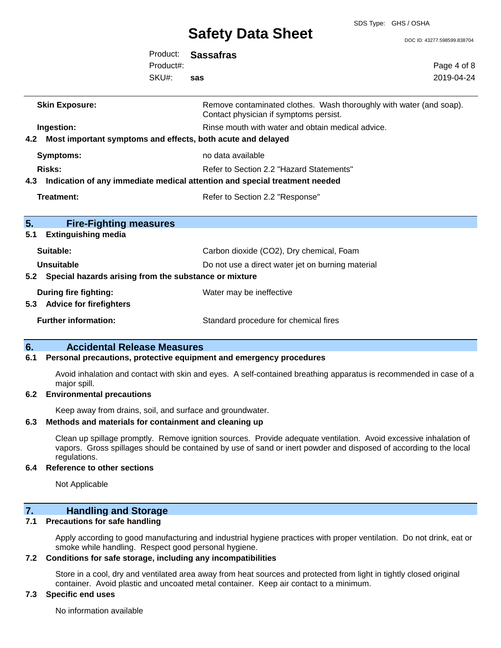SDS Type: GHS / OSHA

DOC ID: 43277.598599.838704

|                                                                 | Product:<br>Product#:<br>SKU#: | <b>Sassafras</b><br>sas                                                                                       | Page 4 of 8<br>2019-04-24 |
|-----------------------------------------------------------------|--------------------------------|---------------------------------------------------------------------------------------------------------------|---------------------------|
| <b>Skin Exposure:</b>                                           |                                | Remove contaminated clothes. Wash thoroughly with water (and soap).<br>Contact physician if symptoms persist. |                           |
| Ingestion:                                                      |                                | Rinse mouth with water and obtain medical advice.                                                             |                           |
| 4.2 Most important symptoms and effects, both acute and delayed |                                |                                                                                                               |                           |
| <b>Symptoms:</b>                                                |                                | no data available                                                                                             |                           |
| <b>Risks:</b>                                                   |                                | Refer to Section 2.2 "Hazard Statements"                                                                      |                           |
| 4.3                                                             |                                | Indication of any immediate medical attention and special treatment needed                                    |                           |
| Treatment:                                                      |                                | Refer to Section 2.2 "Response"                                                                               |                           |
| 5.<br><b>Fire-Fighting measures</b>                             |                                |                                                                                                               |                           |
| 5.1<br><b>Extinguishing media</b>                               |                                |                                                                                                               |                           |
| Suitable:                                                       |                                | Carbon dioxide (CO2), Dry chemical, Foam                                                                      |                           |
| <b>Unsuitable</b>                                               |                                | Do not use a direct water jet on burning material                                                             |                           |
| 5.2 Special hazards arising from the substance or mixture       |                                |                                                                                                               |                           |
| <b>During fire fighting:</b><br>5.3 Advice for firefighters     |                                | Water may be ineffective                                                                                      |                           |
| <b>Further information:</b>                                     |                                | Standard procedure for chemical fires                                                                         |                           |

## **6. Accidental Release Measures**

#### **6.1 Personal precautions, protective equipment and emergency procedures**

Avoid inhalation and contact with skin and eyes. A self-contained breathing apparatus is recommended in case of a major spill.

#### **6.2 Environmental precautions**

Keep away from drains, soil, and surface and groundwater.

#### **6.3 Methods and materials for containment and cleaning up**

Clean up spillage promptly. Remove ignition sources. Provide adequate ventilation. Avoid excessive inhalation of vapors. Gross spillages should be contained by use of sand or inert powder and disposed of according to the local regulations.

#### **6.4 Reference to other sections**

Not Applicable

# **7. Handling and Storage**

### **7.1 Precautions for safe handling**

Apply according to good manufacturing and industrial hygiene practices with proper ventilation. Do not drink, eat or smoke while handling. Respect good personal hygiene.

#### **7.2 Conditions for safe storage, including any incompatibilities**

Store in a cool, dry and ventilated area away from heat sources and protected from light in tightly closed original container. Avoid plastic and uncoated metal container. Keep air contact to a minimum.

### **7.3 Specific end uses**

No information available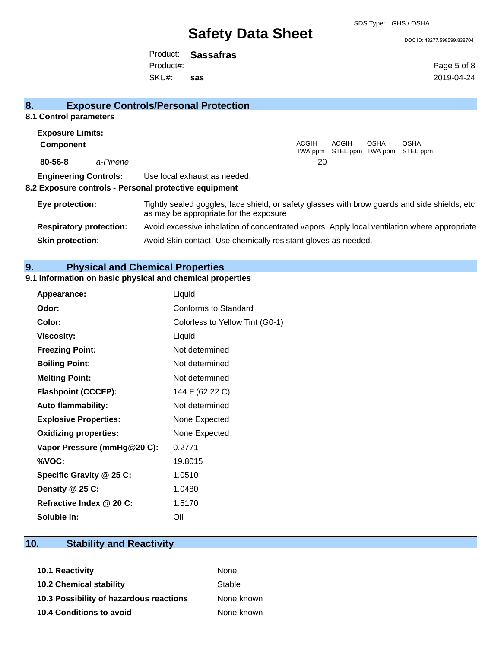SDS Type: GHS / OSHA

#### DOC ID: 43277.598599.838704

Product: **Sassafras** SKU#: Product#: **sas**

Page 5 of 8 2019-04-24

| 8.                             |          | <b>Exposure Controls/Personal Protection</b>                                                                                             |                         |       |                                 |                         |
|--------------------------------|----------|------------------------------------------------------------------------------------------------------------------------------------------|-------------------------|-------|---------------------------------|-------------------------|
| 8.1 Control parameters         |          |                                                                                                                                          |                         |       |                                 |                         |
| <b>Exposure Limits:</b>        |          |                                                                                                                                          |                         |       |                                 |                         |
| <b>Component</b>               |          |                                                                                                                                          | <b>ACGIH</b><br>TWA ppm | ACGIH | <b>OSHA</b><br>STEL ppm TWA ppm | <b>OSHA</b><br>STEL ppm |
| 80-56-8                        | a-Pinene |                                                                                                                                          | 20                      |       |                                 |                         |
| <b>Engineering Controls:</b>   |          | Use local exhaust as needed.                                                                                                             |                         |       |                                 |                         |
|                                |          | 8.2 Exposure controls - Personal protective equipment                                                                                    |                         |       |                                 |                         |
| Eye protection:                |          | Tightly sealed goggles, face shield, or safety glasses with brow guards and side shields, etc.<br>as may be appropriate for the exposure |                         |       |                                 |                         |
| <b>Respiratory protection:</b> |          | Avoid excessive inhalation of concentrated vapors. Apply local ventilation where appropriate.                                            |                         |       |                                 |                         |
| <b>Skin protection:</b>        |          | Avoid Skin contact. Use chemically resistant gloves as needed.                                                                           |                         |       |                                 |                         |

# **9. Physical and Chemical Properties**

# **9.1 Information on basic physical and chemical properties**

| <b>Appearance:</b>           | Liquid                          |
|------------------------------|---------------------------------|
| Odor:                        | Conforms to Standard            |
| Color:                       | Colorless to Yellow Tint (G0-1) |
| <b>Viscosity:</b>            | Liquid                          |
| <b>Freezing Point:</b>       | Not determined                  |
| <b>Boiling Point:</b>        | Not determined                  |
| <b>Melting Point:</b>        | Not determined                  |
| <b>Flashpoint (CCCFP):</b>   | 144 F (62.22 C)                 |
| Auto flammability:           | Not determined                  |
| <b>Explosive Properties:</b> | None Expected                   |
| <b>Oxidizing properties:</b> | None Expected                   |
| Vapor Pressure (mmHg@20 C):  | 0.2771                          |
| %VOC:                        | 19.8015                         |
| Specific Gravity @ 25 C:     | 1.0510                          |
| Density $@25C$ :             | 1.0480                          |
| Refractive Index @ 20 C:     | 1.5170                          |
| Soluble in:                  | Oil                             |

# **10. Stability and Reactivity**

| <b>10.1 Reactivity</b>                  | <b>None</b> |
|-----------------------------------------|-------------|
| <b>10.2 Chemical stability</b>          | Stable      |
| 10.3 Possibility of hazardous reactions | None known  |
| <b>10.4 Conditions to avoid</b>         | None known  |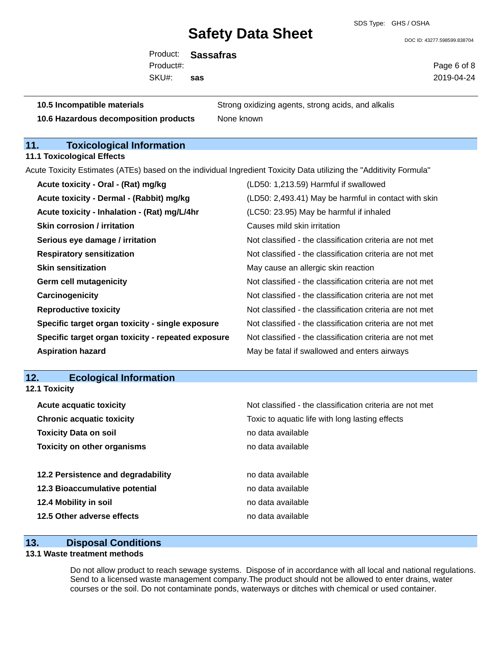SDS Type: GHS / OSHA

DOC ID: 43277.598599.838704

Product: **Sassafras** SKU#: Product#: **sas**

Page 6 of 8 2019-04-24

| 10.5 Incompatible materials             | Strong oxidizing agents, strong acids, and alkalis |
|-----------------------------------------|----------------------------------------------------|
| 10.6 Hazardous decomposition products   | None known                                         |
|                                         |                                                    |
| 11.<br><b>Toxicological Information</b> |                                                    |

**11.1 Toxicological Effects**

Acute Toxicity Estimates (ATEs) based on the individual Ingredient Toxicity Data utilizing the "Additivity Formula"

| Acute toxicity - Oral - (Rat) mg/kg                | (LD50: 1,213.59) Harmful if swallowed                    |
|----------------------------------------------------|----------------------------------------------------------|
| Acute toxicity - Dermal - (Rabbit) mg/kg           | (LD50: 2,493.41) May be harmful in contact with skin     |
| Acute toxicity - Inhalation - (Rat) mg/L/4hr       | (LC50: 23.95) May be harmful if inhaled                  |
| <b>Skin corrosion / irritation</b>                 | Causes mild skin irritation                              |
| Serious eye damage / irritation                    | Not classified - the classification criteria are not met |
| <b>Respiratory sensitization</b>                   | Not classified - the classification criteria are not met |
| <b>Skin sensitization</b>                          | May cause an allergic skin reaction                      |
| <b>Germ cell mutagenicity</b>                      | Not classified - the classification criteria are not met |
| Carcinogenicity                                    | Not classified - the classification criteria are not met |
| <b>Reproductive toxicity</b>                       | Not classified - the classification criteria are not met |
| Specific target organ toxicity - single exposure   | Not classified - the classification criteria are not met |
| Specific target organ toxicity - repeated exposure | Not classified - the classification criteria are not met |
| <b>Aspiration hazard</b>                           | May be fatal if swallowed and enters airways             |

**12. Ecological Information 12.1 Toxicity**

| <b>Acute acquatic toxicity</b>     | Not classified - the classification criteria are not met |
|------------------------------------|----------------------------------------------------------|
| <b>Chronic acquatic toxicity</b>   | Toxic to aquatic life with long lasting effects          |
| <b>Toxicity Data on soil</b>       | no data available                                        |
| <b>Toxicity on other organisms</b> | no data available                                        |
|                                    |                                                          |
| 12.2 Persistence and degradability | no data available                                        |
| 12.3 Bioaccumulative potential     | no data available                                        |
| 12.4 Mobility in soil              | no data available                                        |
| 12.5 Other adverse effects         | no data available                                        |
|                                    |                                                          |

### **13. Disposal Conditions**

#### **13.1 Waste treatment methods**

Do not allow product to reach sewage systems. Dispose of in accordance with all local and national regulations. Send to a licensed waste management company.The product should not be allowed to enter drains, water courses or the soil. Do not contaminate ponds, waterways or ditches with chemical or used container.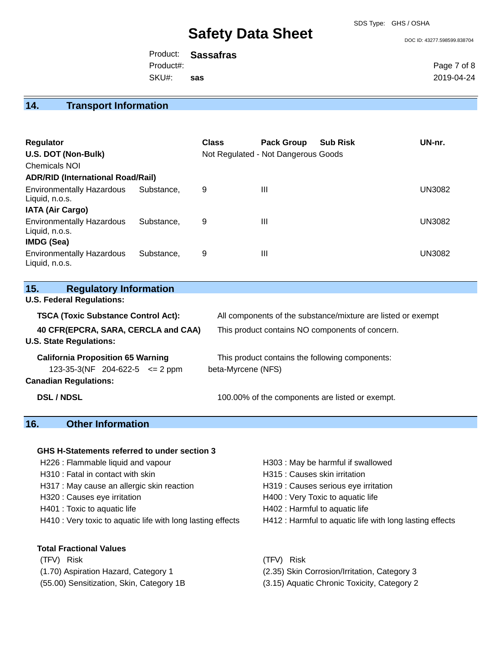#### SDS Type: GHS / OSHA

# **Safety Data Sheet**

DOC ID: 43277.598599.838704

Product: **Sassafras** SKU#: Product#: **sas**

Page 7 of 8 2019-04-24

# **14. Transport Information**

| <b>Regulator</b><br>U.S. DOT (Non-Bulk)<br>Chemicals NOI<br><b>ADR/RID (International Road/Rail)</b> |            | <b>Class</b> | <b>Pack Group</b><br>Not Regulated - Not Dangerous Goods | <b>Sub Risk</b> | UN-nr.        |
|------------------------------------------------------------------------------------------------------|------------|--------------|----------------------------------------------------------|-----------------|---------------|
| <b>Environmentally Hazardous</b><br>Liquid, n.o.s.                                                   | Substance. | 9            | $\mathbf{III}$                                           |                 | <b>UN3082</b> |
| <b>IATA (Air Cargo)</b><br><b>Environmentally Hazardous</b><br>Liquid, n.o.s.<br><b>IMDG (Sea)</b>   | Substance. | 9            | $\mathbf{III}$                                           |                 | <b>UN3082</b> |
| <b>Environmentally Hazardous</b><br>Liquid, n.o.s.                                                   | Substance. | 9            | $\mathbf{III}$                                           |                 | <b>UN3082</b> |

| 15.<br><b>Regulatory Information</b>       |                                                              |  |  |
|--------------------------------------------|--------------------------------------------------------------|--|--|
| <b>U.S. Federal Regulations:</b>           |                                                              |  |  |
| <b>TSCA (Toxic Substance Control Act):</b> | All components of the substance/mixture are listed or exempt |  |  |
| 40 CFR(EPCRA, SARA, CERCLA and CAA)        | This product contains NO components of concern.              |  |  |
| <b>U.S. State Regulations:</b>             |                                                              |  |  |
| <b>California Proposition 65 Warning</b>   | This product contains the following components:              |  |  |
| $123-35-3(NF 204-622-5 \leq 2$ ppm         | beta-Myrcene (NFS)                                           |  |  |
| <b>Canadian Regulations:</b>               |                                                              |  |  |
| <b>DSL/NDSL</b>                            | 100.00% of the components are listed or exempt.              |  |  |

# **16. Other Information**

#### **GHS H-Statements referred to under section 3**

H226 : Flammable liquid and vapour H303 : May be harmful if swallowed H310 : Fatal in contact with skin **H315** : Causes skin irritation H317 : May cause an allergic skin reaction **H319** : Causes serious eye irritation H320 : Causes eye irritation **H400** : Very Toxic to aquatic life H401 : Toxic to aquatic life H402 : Harmful to aquatic life

#### **Total Fractional Values**

(TFV) Risk (TFV) Risk (1.70) Aspiration Hazard, Category 1 (2.35) Skin Corrosion/Irritation, Category 3

- 
- 
- 
- H410 : Very toxic to aquatic life with long lasting effects H412 : Harmful to aquatic life with long lasting effects

(55.00) Sensitization, Skin, Category 1B (3.15) Aquatic Chronic Toxicity, Category 2